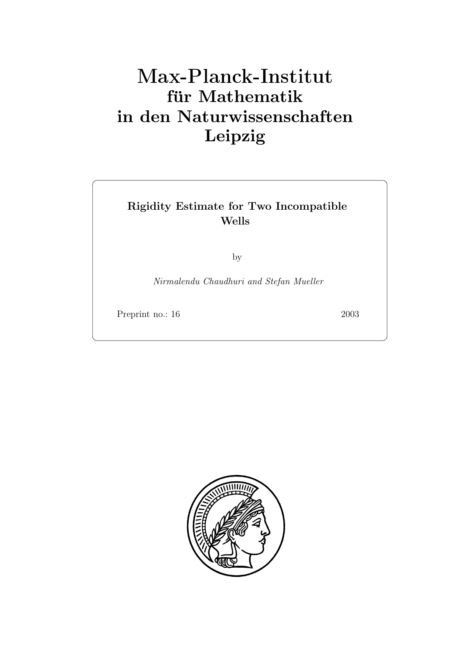# **für Mathematik in den Naturwissenschaften Leipzig**

# **Rigidity Estimate for Two Incompatible Wells**

by

Nirmalendu Chaudhuri and Stefan Mueller

Preprint no.: 16 2003

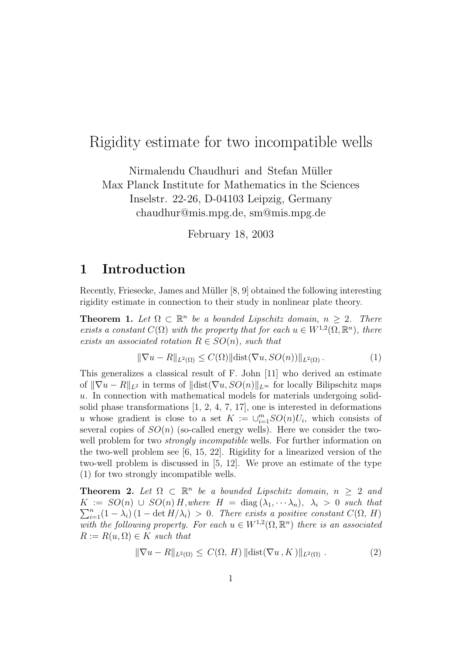## Rigidity estimate for two incompatible wells

Nirmalendu Chaudhuri and Stefan Müller Max Planck Institute for Mathematics in the Sciences Inselstr. 22-26, D-04103 Leipzig, Germany chaudhur@mis.mpg.de, sm@mis.mpg.de

February 18, 2003

## **1 Introduction**

Recently, Friesecke, James and Müller [8, 9] obtained the following interesting rigidity estimate in connection to their study in nonlinear plate theory.

**Theorem 1.** Let  $\Omega \subset \mathbb{R}^n$  be a bounded Lipschitz domain,  $n \geq 2$ . There exists a constant  $C(\Omega)$  with the property that for each  $u \in W^{1,2}(\Omega,\mathbb{R}^n)$ , there exists an associated rotation  $R \in SO(n)$ , such that

$$
\|\nabla u - R\|_{L^2(\Omega)} \le C(\Omega) \|\text{dist}(\nabla u, SO(n))\|_{L^2(\Omega)}.
$$
\n(1)

This generalizes a classical result of F. John [11] who derived an estimate of  $\|\nabla u - R\|_{L^2}$  in terms of  $\|\text{dist}(\nabla u, SO(n)\|_{L^\infty})$  for locally Bilipschitz maps u. In connection with mathematical models for materials undergoing solidsolid phase transformations [1, 2, 4, 7, 17], one is interested in deformations u whose gradient is close to a set  $K := \bigcup_{i=1}^{m} SO(n)U_i$ , which consists of several copies of  $SO(n)$  (so-called energy wells). Here we consider the twowell problem for two *strongly incompatible* wells. For further information on the two-well problem see [6, 15, 22]. Rigidity for a linearized version of the two-well problem is discussed in [5, 12]. We prove an estimate of the type (1) for two strongly incompatible wells.

**Theorem 2.** Let  $\Omega \subset \mathbb{R}^n$  be a bounded Lipschitz domain,  $n \geq 2$  and  $\sum_{i=1}^{n} (1 - \lambda_i) (1 - \det H/\lambda_i) > 0$ . There exists a positive constant  $C(\Omega, H)$  $K := SO(n) \cup SO(n) H$ , where  $H = \text{diag}(\lambda_1, \dots, \lambda_n)$ ,  $\lambda_i > 0$  such that with the following property. For each  $u \in W^{1,2}(\Omega, \mathbb{R}^n)$  there is an associated  $R := R(u, \Omega) \in K$  such that

$$
\|\nabla u - R\|_{L^2(\Omega)} \le C(\Omega, H) \|\text{dist}(\nabla u, K)\|_{L^2(\Omega)} . \tag{2}
$$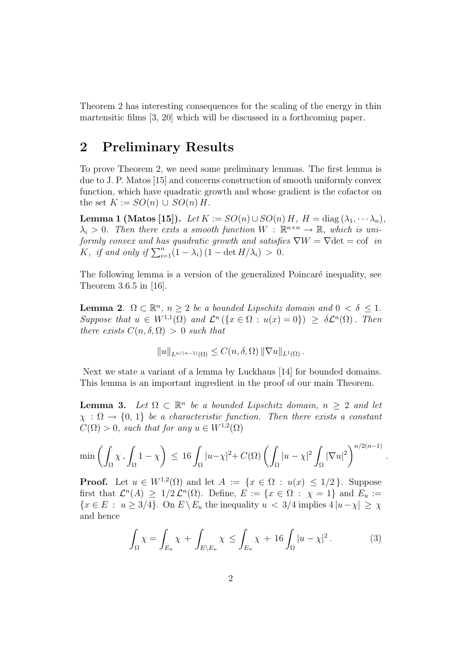Theorem 2 has interesting consequences for the scaling of the energy in thin martensitic films [3, 20] which will be discussed in a forthcoming paper.

## **2 Preliminary Results**

To prove Theorem 2, we need some preliminary lemmas. The first lemma is due to J. P. Matos [15] and concerns construction of smooth uniformly convex function, which have quadratic growth and whose gradient is the cofactor on the set  $K := SO(n) \cup SO(n)$  H.

**Lemma 1 (Matos [15]).** Let  $K := SO(n) \cup SO(n) H$ ,  $H = diag(\lambda_1, \dots, \lambda_n)$ ,  $\lambda_i > 0$ . Then there exits a smooth function  $W : \mathbb{R}^{n \times n} \to \mathbb{R}$ , which is uniformly convex and has quadratic growth and satisfies  $\nabla W = \nabla \det = \text{cof }$  in K, if and only if  $\sum_{i=1}^{n} (1 - \lambda_i) (1 - \det H/\lambda_i) > 0$ .

The following lemma is a version of the generalized Poincaré inequality, see Theorem 3.6.5 in [16].

**Lemma 2.**  $\Omega \subset \mathbb{R}^n$ ,  $n \geq 2$  be a bounded Lipschitz domain and  $0 < \delta \leq 1$ . Suppose that  $u \in W^{1,1}(\Omega)$  and  $\mathcal{L}^n (\{x \in \Omega : u(x) = 0\}) > \delta \mathcal{L}^n(\Omega)$ . Then there exists  $C(n, \delta, \Omega) > 0$  such that

$$
||u||_{L^{n/(n-1)}(\Omega)} \leq C(n,\delta,\Omega) ||\nabla u||_{L^{1}(\Omega)}.
$$

Next we state a variant of a lemma by Luckhaus [14] for bounded domains. This lemma is an important ingredient in the proof of our main Theorem.

**Lemma 3.** Let  $\Omega \subset \mathbb{R}^n$  be a bounded Lipschitz domain,  $n \geq 2$  and let  $\chi : \Omega \to \{0, 1\}$  be a characteristic function. Then there exists a constant  $C(\Omega) > 0$ , such that for any  $u \in W^{1,2}(\Omega)$ 

$$
\min\left(\int_{\Omega} \chi, \int_{\Omega} 1 - \chi\right) \le 16 \int_{\Omega} |u - \chi|^2 + C(\Omega) \left(\int_{\Omega} |u - \chi|^2 \int_{\Omega} |\nabla u|^2\right)^{n/2(n-1)}
$$

**Proof.** Let  $u \in W^{1,2}(\Omega)$  and let  $A := \{x \in \Omega : u(x) \leq 1/2\}$ . Suppose first that  $\mathcal{L}^n(A) \geq 1/2 \mathcal{L}^n(\Omega)$ . Define,  $E := \{x \in \Omega : \chi = 1\}$  and  $E_u :=$  ${x \in E : u \geq 3/4}$ . On  $E \backslash E_u$  the inequality  $u < 3/4$  implies  $4 |u - \chi| \geq \chi$ and hence

$$
\int_{\Omega} \chi = \int_{E_u} \chi + \int_{E \setminus E_u} \chi \le \int_{E_u} \chi + 16 \int_{\Omega} |u - \chi|^2.
$$
 (3)

.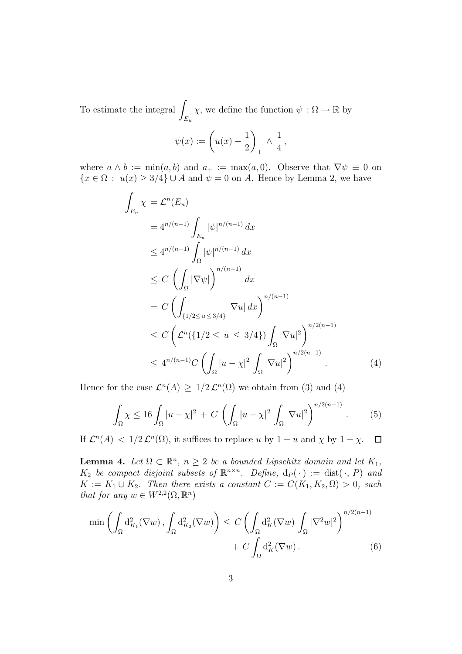To estimate the integral  $\int$ *Eu*  $\chi$ , we define the function  $\psi : \Omega \to \mathbb{R}$  by

$$
\psi(x) := \left(u(x) - \frac{1}{2}\right)_+ \wedge \frac{1}{4},
$$

where  $a \wedge b := \min(a, b)$  and  $a_+ := \max(a, 0)$ . Observe that  $\nabla \psi \equiv 0$  on  ${x \in \Omega : u(x) \geq 3/4} \cup A$  and  $\psi = 0$  on A. Hence by Lemma 2, we have

$$
\int_{E_u} \chi = \mathcal{L}^n(E_u)
$$
\n
$$
= 4^{n/(n-1)} \int_{E_u} |\psi|^{n/(n-1)} dx
$$
\n
$$
\leq 4^{n/(n-1)} \int_{\Omega} |\psi|^{n/(n-1)} dx
$$
\n
$$
\leq C \left( \int_{\Omega} |\nabla \psi| \right)^{n/(n-1)} dx
$$
\n
$$
= C \left( \int_{\{1/2 \leq u \leq 3/4\}} |\nabla u| dx \right)^{n/(n-1)}
$$
\n
$$
\leq C \left( \mathcal{L}^n(\{1/2 \leq u \leq 3/4\}) \int_{\Omega} |\nabla u|^2 \right)^{n/2(n-1)}
$$
\n
$$
\leq 4^{n/(n-1)} C \left( \int_{\Omega} |u - \chi|^2 \int_{\Omega} |\nabla u|^2 \right)^{n/2(n-1)} .
$$
\n(4)

Hence for the case  $\mathcal{L}^n(A) \geq 1/2 \mathcal{L}^n(\Omega)$  we obtain from (3) and (4)

$$
\int_{\Omega} \chi \le 16 \int_{\Omega} |u - \chi|^2 + C \left( \int_{\Omega} |u - \chi|^2 \int_{\Omega} |\nabla u|^2 \right)^{n/2(n-1)}.
$$
 (5)

If  $\mathcal{L}^n(A) < 1/2 \mathcal{L}^n(\Omega)$ , it suffices to replace u by  $1 - u$  and  $\chi$  by  $1 - \chi$ .  $\Box$ 

**Lemma 4.** Let  $\Omega \subset \mathbb{R}^n$ ,  $n \geq 2$  be a bounded Lipschitz domain and let  $K_1$ ,  $K_2$  be compact disjoint subsets of  $\mathbb{R}^{n \times n}$ . Define,  $d_P(\cdot) := \text{dist}(\cdot, P)$  and  $K := K_1 \cup K_2$ . Then there exists a constant  $C := C(K_1, K_2, \Omega) > 0$ , such that for any  $w \in W^{2,2}(\Omega, \mathbb{R}^n)$ 

$$
\min\left(\int_{\Omega} d_{K_1}^2(\nabla w), \int_{\Omega} d_{K_2}^2(\nabla w)\right) \le C\left(\int_{\Omega} d_K^2(\nabla w) \int_{\Omega} |\nabla^2 w|^2\right)^{n/2(n-1)} + C\int_{\Omega} d_K^2(\nabla w).
$$
\n(6)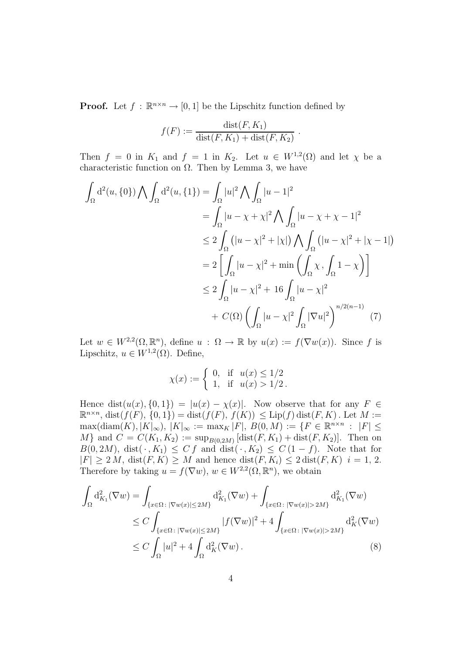**Proof.** Let  $f : \mathbb{R}^{n \times n} \to [0, 1]$  be the Lipschitz function defined by

$$
f(F) := \frac{\text{dist}(F, K_1)}{\text{dist}(F, K_1) + \text{dist}(F, K_2)}.
$$

Then  $f = 0$  in  $K_1$  and  $f = 1$  in  $K_2$ . Let  $u \in W^{1,2}(\Omega)$  and let  $\chi$  be a characteristic function on  $\Omega$ . Then by Lemma 3, we have

$$
\int_{\Omega} d^{2}(u, \{0\}) \bigwedge \int_{\Omega} d^{2}(u, \{1\}) = \int_{\Omega} |u|^{2} \bigwedge \int_{\Omega} |u - 1|^{2}
$$
\n
$$
= \int_{\Omega} |u - \chi + \chi|^{2} \bigwedge \int_{\Omega} |u - \chi + \chi - 1|^{2}
$$
\n
$$
\leq 2 \int_{\Omega} (|u - \chi|^{2} + |\chi|) \bigwedge \int_{\Omega} (|u - \chi|^{2} + |\chi - 1|)
$$
\n
$$
= 2 \left[ \int_{\Omega} |u - \chi|^{2} + \min \left( \int_{\Omega} \chi, \int_{\Omega} 1 - \chi \right) \right]
$$
\n
$$
\leq 2 \int_{\Omega} |u - \chi|^{2} + 16 \int_{\Omega} |u - \chi|^{2}
$$
\n
$$
+ C(\Omega) \left( \int_{\Omega} |u - \chi|^{2} \int_{\Omega} |\nabla u|^{2} \right)^{n/2(n-1)} (7)
$$

Let  $w \in W^{2,2}(\Omega,\mathbb{R}^n)$ , define  $u : \Omega \to \mathbb{R}$  by  $u(x) := f(\nabla w(x))$ . Since f is Lipschitz,  $u \in W^{1,2}(\Omega)$ . Define,

$$
\chi(x) := \begin{cases} 0, & \text{if } u(x) \le 1/2 \\ 1, & \text{if } u(x) > 1/2 \end{cases}
$$

Hence dist $(u(x), \{0, 1\}) = |u(x) - \chi(x)|$ . Now observe that for any  $F \in$  $\mathbb{R}^{n \times n}$ , dist $(f(F), \{0, 1\}) = \text{dist}(f(F), f(K)) \leq \text{Lip}(f) \text{dist}(F, K)$ . Let  $M :=$  $\max(\text{diam}(K), |K|_{\infty}), |K|_{\infty} := \max_{K} |F|, B(0, M) := \{F \in \mathbb{R}^{n \times n} : |F| \leq$ M} and  $C = C(K_1, K_2) := \sup_{B(0, 2M)} [\text{dist}(F, K_1) + \text{dist}(F, K_2)].$  Then on  $B(0, 2M)$ , dist( $\cdot$ ,  $K_1$ )  $\leq C f$  and dist( $\cdot$ ,  $K_2$ )  $\leq C(1-f)$ . Note that for  $|F| \geq 2 M$ ,  $dist(F, K) \geq M$  and hence  $dist(F, K_i) \leq 2 dist(F, K)$   $i = 1, 2$ . Therefore by taking  $u = f(\nabla w)$ ,  $w \in W^{2,2}(\Omega, \mathbb{R}^n)$ , we obtain

$$
\int_{\Omega} d_{K_1}^2(\nabla w) = \int_{\{x \in \Omega : |\nabla w(x)| \le 2M\}} d_{K_1}^2(\nabla w) + \int_{\{x \in \Omega : |\nabla w(x)| > 2M\}} d_{K_1}^2(\nabla w)
$$
\n
$$
\le C \int_{\{x \in \Omega : |\nabla w(x)| \le 2M\}} |f(\nabla w)|^2 + 4 \int_{\{x \in \Omega : |\nabla w(x)| > 2M\}} d_K^2(\nabla w)
$$
\n
$$
\le C \int_{\Omega} |u|^2 + 4 \int_{\Omega} d_K^2(\nabla w).
$$
\n(8)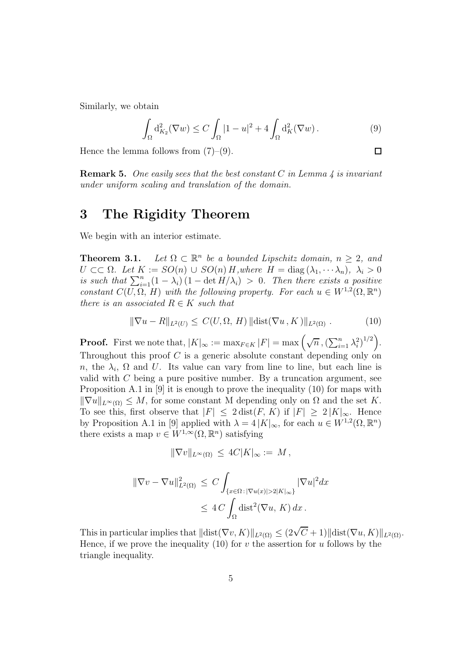Similarly, we obtain

$$
\int_{\Omega} d_{K_2}^2(\nabla w) \le C \int_{\Omega} |1 - u|^2 + 4 \int_{\Omega} d_K^2(\nabla w). \tag{9}
$$

 $\Box$ 

Hence the lemma follows from  $(7)-(9)$ .

**Remark 5.** One easily sees that the best constant  $C$  in Lemma  $\ddot{A}$  is invariant under uniform scaling and translation of the domain.

### **3 The Rigidity Theorem**

We begin with an interior estimate.

**Theorem 3.1.** Let  $\Omega \subset \mathbb{R}^n$  be a bounded Lipschitz domain,  $n \geq 2$ , and  $U \subset\subset \Omega$ . Let  $K := SO(n) \cup SO(n)$  H, where  $H = \text{diag}(\lambda_1, \dots, \lambda_n)$ ,  $\lambda_i > 0$ is such that  $\sum_{i=1}^{n} (1 - \lambda_i)(1 - \det H/\lambda_i) > 0$ . Then there exists a positive constant  $C(U, \Omega, H)$  with the following property. For each  $u \in W^{1,2}(\Omega, \mathbb{R}^n)$ there is an associated  $R \in K$  such that

$$
\|\nabla u - R\|_{L^2(U)} \le C(U, \Omega, H) \|\text{dist}(\nabla u, K)\|_{L^2(\Omega)} . \tag{10}
$$

**Proof.** First we note that,  $|K|_{\infty} := \max_{F \in K} |F| = \max \left( \sqrt{n}, \left( \sum_{i=1}^{n} \lambda_i^2 \right)^{1/2} \right)$ . Throughout this proof  $C$  is a generic absolute constant depending only on n, the  $\lambda_i$ ,  $\Omega$  and U. Its value can vary from line to line, but each line is valid with  $C$  being a pure positive number. By a truncation argument, see Proposition A.1 in [9] it is enough to prove the inequality (10) for maps with  $\|\nabla u\|_{L^{\infty}(\Omega)} \leq M$ , for some constant M depending only on  $\Omega$  and the set K. To see this, first observe that  $|F| \leq 2 \text{ dist}(F, K)$  if  $|F| \geq 2 |K|_{\infty}$ . Hence by Proposition A.1 in [9] applied with  $\lambda = 4 |K|_{\infty}$ , for each  $u \in W^{1,2}(\Omega, \mathbb{R}^n)$ there exists a map  $v \in W^{1,\infty}(\Omega,\mathbb{R}^n)$  satisfying

$$
\|\nabla v\|_{L^{\infty}(\Omega)} \le 4C|K|_{\infty} := M,
$$

$$
\|\nabla v - \nabla u\|_{L^2(\Omega)}^2 \le C \int_{\{x \in \Omega : |\nabla u(x)| > 2|K\|_{\infty}\}} |\nabla u|^2 dx
$$
  

$$
\le 4C \int_{\Omega} \text{dist}^2(\nabla u, K) dx.
$$

This in particular implies that  $\|\text{dist}(\nabla v, K)\|_{L^2(\Omega)} \leq (2\sqrt{C}+1)\|\text{dist}(\nabla u, K)\|_{L^2(\Omega)}$ . Hence, if we prove the inequality (10) for v the assertion for u follows by the triangle inequality.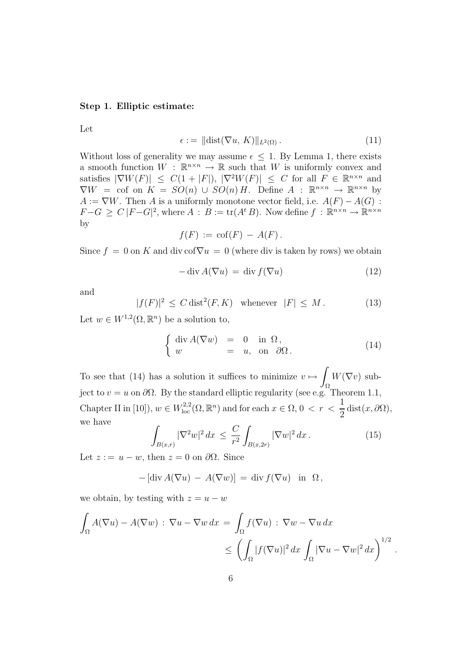#### **Step 1. Elliptic estimate:**

Let

$$
\epsilon := \|\text{dist}(\nabla u, K)\|_{L^2(\Omega)}\,. \tag{11}
$$

Without loss of generality we may assume  $\epsilon \leq 1$ . By Lemma 1, there exists a smooth function  $W : \mathbb{R}^{n \times n} \to \mathbb{R}$  such that W is uniformly convex and satisfies  $|\nabla W(F)| \leq C(1+|F|), |\nabla^2 W(F)| \leq C$  for all  $F \in \mathbb{R}^{n \times n}$  and  $\nabla W = \text{cof}$  on  $K = SO(n) \cup SO(n)H$ . Define  $A : \mathbb{R}^{n \times n} \to \mathbb{R}^{n \times n}$  by  $A := \nabla W$ . Then A is a uniformly monotone vector field, i.e.  $A(F) - A(G)$ :  $F-G \geq C |F-G|^2$ , where  $A : B := \text{tr}(A^t B)$ . Now define  $f : \mathbb{R}^{n \times n} \to \mathbb{R}^{n \times n}$ by

$$
f(F) := \operatorname{cof}(F) - A(F).
$$

Since  $f = 0$  on K and div cof $\nabla u = 0$  (where div is taken by rows) we obtain

$$
-\operatorname{div} A(\nabla u) = \operatorname{div} f(\nabla u)
$$
\n(12)

and

$$
|f(F)|^2 \le C \operatorname{dist}^2(F, K) \quad \text{whenever} \quad |F| \le M. \tag{13}
$$

Let  $w \in W^{1,2}(\Omega, \mathbb{R}^n)$  be a solution to,

$$
\begin{cases} \operatorname{div} A(\nabla w) = 0 & \text{in } \Omega, \\ w = u, \text{ on } \partial \Omega. \end{cases}
$$
 (14)

To see that (14) has a solution it suffices to minimize  $v \mapsto \int W(\nabla v)$  subject to  $v = u$  on  $\partial \Omega$ . By the standard elliptic regularity (see e.g. Theorem 1.1, Chapter II in [10]),  $w \in W^{2,2}_{loc}(\Omega, \mathbb{R}^n)$  and for each  $x \in \Omega, 0 < r < \frac{1}{2}$  $rac{1}{2}$  dist $(x, \partial\Omega)$ , we have

$$
\int_{B(x,r)} |\nabla^2 w|^2 dx \le \frac{C}{r^2} \int_{B(x,2r)} |\nabla w|^2 dx.
$$
 (15)

.

Let  $z := u - w$ , then  $z = 0$  on  $\partial\Omega$ . Since

$$
-[\text{div}\,A(\nabla u) - A(\nabla w)] = \text{div}\,f(\nabla u) \text{ in } \Omega,
$$

we obtain, by testing with  $z = u - w$ 

$$
\int_{\Omega} A(\nabla u) - A(\nabla w) : \nabla u - \nabla w \, dx = \int_{\Omega} f(\nabla u) : \nabla w - \nabla u \, dx
$$

$$
\leq \left( \int_{\Omega} |f(\nabla u)|^2 \, dx \int_{\Omega} |\nabla u - \nabla w|^2 \, dx \right)^{1/2}
$$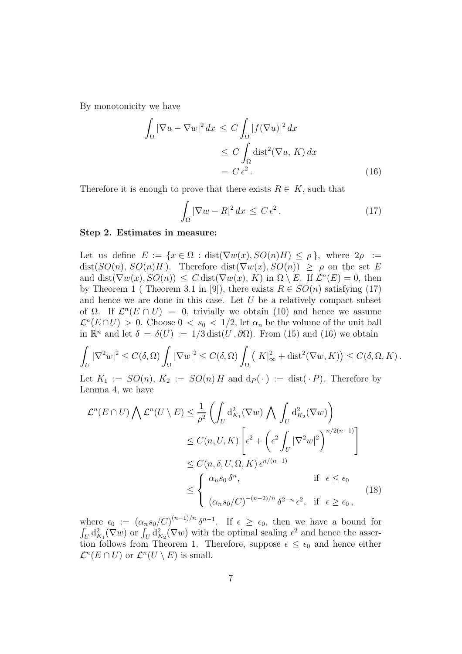By monotonicity we have

$$
\int_{\Omega} |\nabla u - \nabla w|^2 dx \le C \int_{\Omega} |f(\nabla u)|^2 dx
$$
  
\n
$$
\le C \int_{\Omega} \text{dist}^2(\nabla u, K) dx
$$
  
\n
$$
= C \epsilon^2.
$$
\n(16)

Therefore it is enough to prove that there exists  $R \in K$ , such that

$$
\int_{\Omega} |\nabla w - R|^2 dx \le C \epsilon^2.
$$
 (17)

#### **Step 2. Estimates in measure:**

Let us define  $E := \{x \in \Omega : dist(\nabla w(x), SO(n)H) \le \rho\}$ , where  $2\rho :=$  $dist(SO(n), SO(n)H)$ . Therefore  $dist(\nabla w(x), SO(n)) \geq \rho$  on the set E and dist( $\nabla w(x), SO(n)$ )  $\leq C$  dist( $\nabla w(x), K$ ) in  $\Omega \setminus E$ . If  $\mathcal{L}^n(E) = 0$ , then by Theorem 1 ( Theorem 3.1 in [9]), there exists  $R \in SO(n)$  satisfying (17) and hence we are done in this case. Let  $U$  be a relatively compact subset of  $\Omega$ . If  $\mathcal{L}^n(E \cap U) = 0$ , trivially we obtain (10) and hence we assume  $\mathcal{L}^n(E \cap U) > 0$ . Choose  $0 < s_0 < 1/2$ , let  $\alpha_n$  be the volume of the unit ball in  $\mathbb{R}^n$  and let  $\delta = \delta(U) := 1/3 \text{ dist}(U, \partial \Omega)$ . From (15) and (16) we obtain

$$
\int_{U} |\nabla^{2}w|^{2} \leq C(\delta,\Omega) \int_{\Omega} |\nabla w|^{2} \leq C(\delta,\Omega) \int_{\Omega} \left( |K|_{\infty}^{2} + \text{dist}^{2}(\nabla w, K) \right) \leq C(\delta,\Omega,K).
$$

Let  $K_1 := SO(n)$ ,  $K_2 := SO(n)$  H and  $d_P(\cdot) := dist(\cdot)$ . Therefore by Lemma 4, we have

$$
\mathcal{L}^n(E \cap U) \bigwedge \mathcal{L}^n(U \setminus E) \leq \frac{1}{\rho^2} \left( \int_U \mathrm{d}_{K_1}^2(\nabla w) \bigwedge \int_U \mathrm{d}_{K_2}^2(\nabla w) \right)
$$
  
\n
$$
\leq C(n, U, K) \left[ \epsilon^2 + \left( \epsilon^2 \int_U |\nabla^2 w|^2 \right)^{n/2(n-1)} \right]
$$
  
\n
$$
\leq C(n, \delta, U, \Omega, K) \epsilon^{n/(n-1)}
$$
  
\n
$$
\leq \begin{cases} \alpha_n s_0 \, \delta^n, & \text{if } \epsilon \leq \epsilon_0 \\ (\alpha_n s_0/C)^{-(n-2)/n} \, \delta^{2-n} \, \epsilon^2, & \text{if } \epsilon \geq \epsilon_0, \end{cases}
$$
\n(18)

where  $\epsilon_0 := (\alpha_n s_0/C)^{(n-1)/n} \delta^{n-1}$ . If  $\epsilon \geq \epsilon_0$ , then we have a bound for  $\int_U d_{K_1}^2(\nabla w)$  or  $\int_U d_{K_2}^2(\nabla w)$  with the optimal scaling  $\epsilon^2$  and hence the assertion follows from Theorem 1. Therefore, suppose  $\epsilon \leq \epsilon_0$  and hence either  $\mathcal{L}^n(E \cap U)$  or  $\mathcal{L}^n(U \setminus E)$  is small.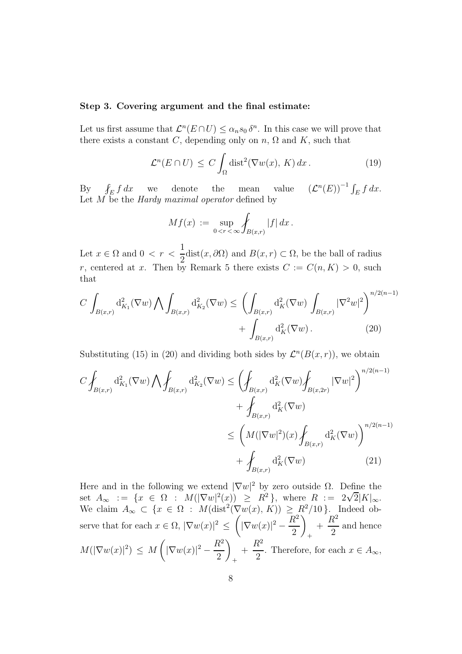#### **Step 3. Covering argument and the final estimate:**

Let us first assume that  $\mathcal{L}^n(E \cap U) \leq \alpha_n s_0 \delta^n$ . In this case we will prove that there exists a constant C, depending only on  $n$ ,  $\Omega$  and K, such that

$$
\mathcal{L}^n(E \cap U) \le C \int_{\Omega} \text{dist}^2(\nabla w(x), K) \, dx. \tag{19}
$$

By  $\oint$  $\int_E f \, dx$  we denote the mean value  $(\mathcal{L}^n(E))^{-1} \int_E f \, dx$ . Let  $M$  be the *Hardy maximal operator* defined by

$$
Mf(x) := \sup_{0 < r < \infty} \int_{B(x,r)} |f| \, dx \, .
$$

Let  $x \in \Omega$  and  $0 \lt r \lt$ 1  $\frac{1}{2}$ dist $(x, \partial \Omega)$  and  $B(x, r) \subset \Omega$ , be the ball of radius r, centered at x. Then by Remark 5 there exists  $C := C(n, K) > 0$ , such that

$$
C \int_{B(x,r)} d_{K_1}^2(\nabla w) \bigwedge \int_{B(x,r)} d_{K_2}^2(\nabla w) \le \left( \int_{B(x,r)} d_K^2(\nabla w) \int_{B(x,r)} |\nabla^2 w|^2 \right)^{n/2(n-1)} + \int_{B(x,r)} d_K^2(\nabla w) . \tag{20}
$$

Substituting (15) in (20) and dividing both sides by  $\mathcal{L}^n(B(x,r))$ , we obtain

$$
C \int_{B(x,r)} d_{K_1}^2(\nabla w) \bigwedge \int_{B(x,r)} d_{K_2}^2(\nabla w) \le \left( \int_{B(x,r)} d_K^2(\nabla w) \int_{B(x,2r)} |\nabla w|^2 \right)^{n/2(n-1)} + \int_{B(x,r)} d_K^2(\nabla w) \le \left( M(|\nabla w|^2)(x) \int_{B(x,r)} d_K^2(\nabla w) \right)^{n/2(n-1)} + \int_{B(x,r)} d_K^2(\nabla w)
$$
(21)

Here and in the following we extend  $|\nabla w|^2$  by zero outside  $\Omega$ . Define the set  $A_{\infty}$  : =  $\{x \in \Omega : M(|\nabla w|^2(x)) \ge R^2\}$ , where  $R := 2\sqrt{2}|K|_{\infty}$ . We claim  $A_{\infty} \subset \{x \in \Omega : M(\text{dist}^2(\nabla w(x), K)) \ge R^2/10\}$ . Indeed observe that for each  $x \in \Omega$ ,  $|\nabla w(x)|^2 \leq \left(|\nabla w(x)|^2 - \frac{R^2}{2}\right)$  $\setminus$ +  $+$  $R^2$ 2 and hence  $M(|\nabla w(x)|^2) \leq M\left(|\nabla w(x)|^2 - \frac{R^2}{2}\right)$ 2  $\setminus$ +  $+$  $R^2$  $\frac{c}{2}$ . Therefore, for each  $x \in A_{\infty}$ ,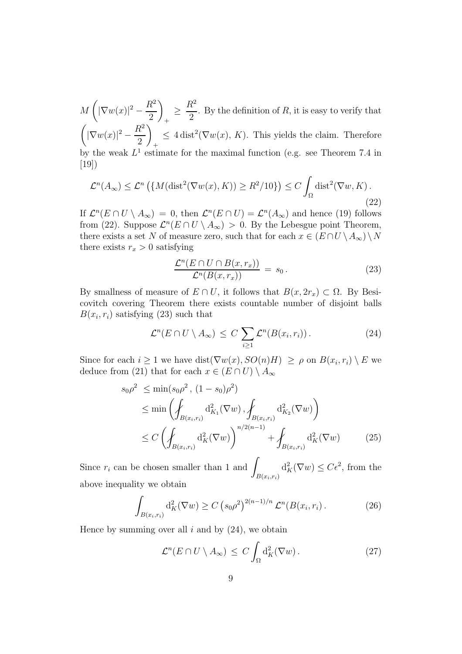$M\left(|\nabla w(x)|^2 - \frac{R^2}{2}\right)$  $\setminus$ + ≥  $R^2$  $\frac{0}{2}$ . By the definition of R, it is easy to verify that  $\bigg(|\nabla w(x)|^2-\frac{R^2}{2}$  $\setminus$ +  $\leq 4 \text{ dist}^{2}(\nabla w(x), K)$ . This yields the claim. Therefore by the weak  $L^1$  estimate for the maximal function (e.g. see Theorem 7.4 in [19])

$$
\mathcal{L}^n(A_{\infty}) \le \mathcal{L}^n\left(\{M(\text{dist}^2(\nabla w(x), K)) \ge R^2/10\}\right) \le C \int_{\Omega} \text{dist}^2(\nabla w, K). \tag{22}
$$

If  $\mathcal{L}^n(E \cap U \setminus A_\infty) = 0$ , then  $\mathcal{L}^n(E \cap U) = \mathcal{L}^n(A_\infty)$  and hence (19) follows from (22). Suppose  $\mathcal{L}^n(E \cap U \setminus A_\infty) > 0$ . By the Lebesgue point Theorem, there exists a set N of measure zero, such that for each  $x \in (E \cap U \setminus A_{\infty}) \setminus N$ there exists  $r_x > 0$  satisfying

$$
\frac{\mathcal{L}^n(E \cap U \cap B(x, r_x))}{\mathcal{L}^n(B(x, r_x))} = s_0.
$$
\n(23)

By smallness of measure of  $E \cap U$ , it follows that  $B(x, 2r_x) \subset \Omega$ . By Besicovitch covering Theorem there exists countable number of disjoint balls  $B(x_i, r_i)$  satisfying (23) such that

$$
\mathcal{L}^n(E \cap U \setminus A_{\infty}) \leq C \sum_{i \geq 1} \mathcal{L}^n(B(x_i, r_i)). \tag{24}
$$

Since for each  $i \geq 1$  we have dist $(\nabla w(x), SO(n)H) \geq \rho$  on  $B(x_i, r_i) \setminus E$  we deduce from (21) that for each  $x \in (E \cap U) \setminus A_{\infty}$ 

$$
s_0 \rho^2 \le \min(s_0 \rho^2, (1 - s_0) \rho^2)
$$
  
\n
$$
\le \min \left( \int_{B(x_i, r_i)} d_{K_1}^2(\nabla w), \int_{B(x_i, r_i)} d_{K_2}^2(\nabla w) \right)
$$
  
\n
$$
\le C \left( \int_{B(x_i, r_i)} d_K^2(\nabla w) \right)^{n/2(n-1)} + \int_{B(x_i, r_i)} d_K^2(\nabla w) \tag{25}
$$

Since  $r_i$  can be chosen smaller than 1 and  $\int$  $B(x_i,r_i)$  $d_K^2(\nabla w) \leq C\epsilon^2$ , from the above inequality we obtain

$$
\int_{B(x_i,r_i)} d_K^2(\nabla w) \ge C \left(s_0 \rho^2\right)^{2(n-1)/n} \mathcal{L}^n(B(x_i,r_i). \tag{26}
$$

Hence by summing over all i and by  $(24)$ , we obtain

$$
\mathcal{L}^n(E \cap U \setminus A_{\infty}) \le C \int_{\Omega} d_K^2(\nabla w). \tag{27}
$$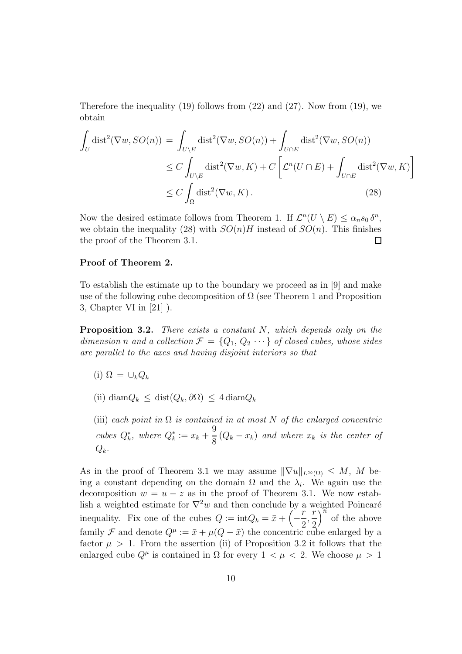Therefore the inequality  $(19)$  follows from  $(22)$  and  $(27)$ . Now from  $(19)$ , we obtain

$$
\int_{U} \text{dist}^{2}(\nabla w, SO(n)) = \int_{U \backslash E} \text{dist}^{2}(\nabla w, SO(n)) + \int_{U \cap E} \text{dist}^{2}(\nabla w, SO(n))
$$
\n
$$
\leq C \int_{U \backslash E} \text{dist}^{2}(\nabla w, K) + C \left[ \mathcal{L}^{n}(U \cap E) + \int_{U \cap E} \text{dist}^{2}(\nabla w, K) \right]
$$
\n
$$
\leq C \int_{\Omega} \text{dist}^{2}(\nabla w, K).
$$
\n(28)

Now the desired estimate follows from Theorem 1. If  $\mathcal{L}^n(U \setminus E) \leq \alpha_n s_0 \delta^n$ , we obtain the inequality (28) with  $SO(n)H$  instead of  $SO(n)$ . This finishes the proof of the Theorem 3.1. □

#### **Proof of Theorem 2.**

To establish the estimate up to the boundary we proceed as in [9] and make use of the following cube decomposition of  $\Omega$  (see Theorem 1 and Proposition 3, Chapter VI in [21] ).

**Proposition 3.2.** There exists a constant N, which depends only on the dimension n and a collection  $\mathcal{F} = \{Q_1, Q_2 \cdots\}$  of closed cubes, whose sides are parallel to the axes and having disjoint interiors so that

- $(i)$   $\Omega = \bigcup_k Q_k$
- $(iii)$  diam $Q_k \leq dist(Q_k, \partial \Omega) \leq 4 \text{diam} Q_k$
- (iii) each point in  $\Omega$  is contained in at most N of the enlarged concentric  $\textit{cubes } Q_k^*$ , where  $Q_k^* := x_k +$ 9  $\frac{8}{8}(Q_k - x_k)$  and where  $x_k$  is the center of  $Q_k$ .

As in the proof of Theorem 3.1 we may assume  $\|\nabla u\|_{L^{\infty}(\Omega)} \leq M$ , M being a constant depending on the domain  $\Omega$  and the  $\lambda_i$ . We again use the decomposition  $w = u - z$  as in the proof of Theorem 3.1. We now establish a weighted estimate for  $\nabla^2 w$  and then conclude by a weighted Poincaré inequality. Fix one of the cubes  $Q := \text{int}Q_k = \bar{x} + \left(-\frac{r}{2}\right)$ , r 2  $\int_0^{\overline{n}}$  of the above family F and denote  $Q^{\mu} := \bar{x} + \mu(Q - \bar{x})$  the concentric cube enlarged by a factor  $\mu > 1$ . From the assertion (ii) of Proposition 3.2 it follows that the enlarged cube  $Q^{\mu}$  is contained in  $\Omega$  for every  $1 < \mu < 2$ . We choose  $\mu > 1$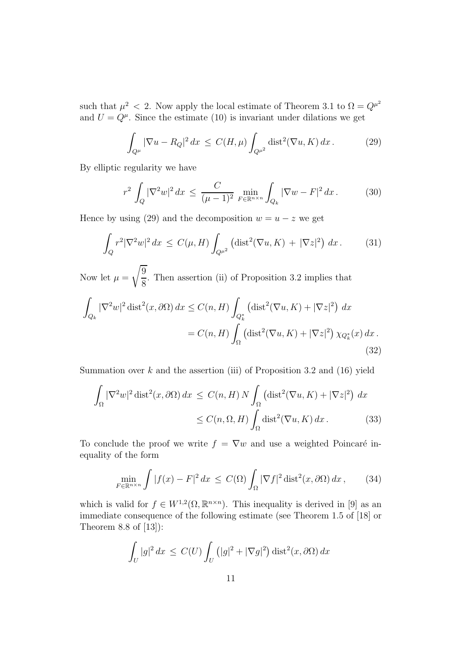such that  $\mu^2$  < 2. Now apply the local estimate of Theorem 3.1 to  $\Omega = Q^{\mu^2}$ and  $U = Q^{\mu}$ . Since the estimate (10) is invariant under dilations we get

$$
\int_{Q^{\mu}} |\nabla u - R_Q|^2 dx \le C(H, \mu) \int_{Q^{\mu^2}} \text{dist}^2(\nabla u, K) dx. \tag{29}
$$

By elliptic regularity we have

$$
r^2 \int_Q |\nabla^2 w|^2 dx \le \frac{C}{(\mu - 1)^2} \min_{F \in \mathbb{R}^{n \times n}} \int_{Q_k} |\nabla w - F|^2 dx. \tag{30}
$$

Hence by using (29) and the decomposition  $w = u - z$  we get

$$
\int_{Q} r^{2} |\nabla^{2} w|^{2} dx \le C(\mu, H) \int_{Q^{\mu^{2}}} \left( \text{dist}^{2}(\nabla u, K) + |\nabla z|^{2} \right) dx.
$$
 (31)

Now let  $\mu =$ 9 8 . Then assertion (ii) of Proposition 3.2 implies that

$$
\int_{Q_k} |\nabla^2 w|^2 \operatorname{dist}^2(x, \partial \Omega) dx \le C(n, H) \int_{Q_k^*} \left( \operatorname{dist}^2(\nabla u, K) + |\nabla z|^2 \right) dx
$$

$$
= C(n, H) \int_{\Omega} \left( \operatorname{dist}^2(\nabla u, K) + |\nabla z|^2 \right) \chi_{Q_k^*}(x) dx.
$$
(32)

Summation over  $k$  and the assertion (iii) of Proposition 3.2 and (16) yield

$$
\int_{\Omega} |\nabla^2 w|^2 \operatorname{dist}^2(x, \partial \Omega) dx \le C(n, H) N \int_{\Omega} \left( \operatorname{dist}^2(\nabla u, K) + |\nabla z|^2 \right) dx
$$
  

$$
\le C(n, \Omega, H) \int_{\Omega} \operatorname{dist}^2(\nabla u, K) dx.
$$
 (33)

To conclude the proof we write  $f = \nabla w$  and use a weighted Poincaré inequality of the form

$$
\min_{F \in \mathbb{R}^{n \times n}} \int |f(x) - F|^2 dx \le C(\Omega) \int_{\Omega} |\nabla f|^2 \operatorname{dist}^2(x, \partial \Omega) dx, \qquad (34)
$$

which is valid for  $f \in W^{1,2}(\Omega,\mathbb{R}^{n\times n})$ . This inequality is derived in [9] as an immediate consequence of the following estimate (see Theorem 1.5 of [18] or Theorem 8.8 of [13]):

$$
\int_U |g|^2 dx \leq C(U) \int_U (|g|^2 + |\nabla g|^2) \operatorname{dist}^2(x, \partial \Omega) dx
$$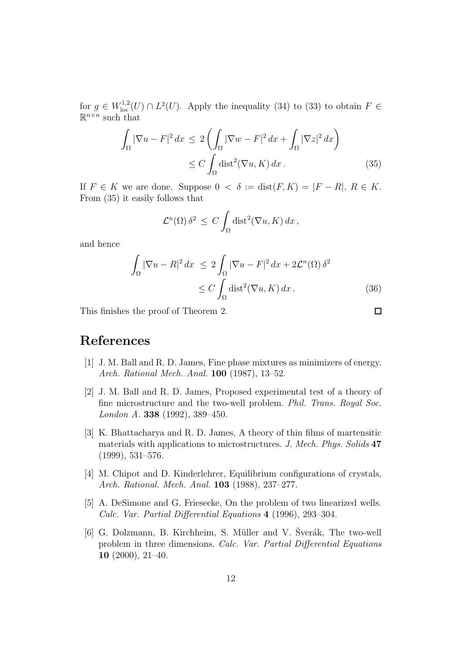for  $g \in W^{1,2}_{loc}(U) \cap L^2(U)$ . Apply the inequality (34) to (33) to obtain  $F \in$  $\mathbb{R}^{n \times n}$  such that

$$
\int_{\Omega} |\nabla u - F|^2 dx \le 2 \left( \int_{\Omega} |\nabla w - F|^2 dx + \int_{\Omega} |\nabla z|^2 dx \right)
$$
  
\n
$$
\le C \int_{\Omega} \text{dist}^2(\nabla u, K) dx. \tag{35}
$$

If  $F \in K$  we are done. Suppose  $0 \lt \delta := \text{dist}(F, K) = |F - R|, R \in K$ . From (35) it easily follows that

$$
\mathcal{L}^n(\Omega) \,\delta^2 \,\leq\, C \int_{\Omega} \text{dist}^2(\nabla u, K) \, dx \,,
$$

and hence

$$
\int_{\Omega} |\nabla u - R|^2 dx \le 2 \int_{\Omega} |\nabla u - F|^2 dx + 2\mathcal{L}^n(\Omega) \delta^2
$$
  
\n
$$
\le C \int_{\Omega} \text{dist}^2(\nabla u, K) dx. \tag{36}
$$

This finishes the proof of Theorem 2.

 $\Box$ 

# **References**

- [1] J. M. Ball and R. D. James, Fine phase mixtures as minimizers of energy. Arch. Rational Mech. Anal. **100** (1987), 13–52.
- [2] J. M. Ball and R. D. James, Proposed experimental test of a theory of fine microstructure and the two-well problem. Phil. Trans. Royal Soc. London A. **338** (1992), 389–450.
- [3] K. Bhattacharya and R. D. James, A theory of thin films of martensitic materials with applications to microstructures. J. Mech. Phys. Solids **47** (1999), 531–576.
- [4] M. Chipot and D. Kinderlehrer, Equilibrium configurations of crystals, Arch. Rational. Mech. Anal. **103** (1988), 237–277.
- [5] A. DeSimone and G. Friesecke, On the problem of two linearized wells. Calc. Var. Partial Differential Equations **4** (1996), 293–304.
- [6] G. Dolzmann, B. Kirchheim, S. Müller and V. Šverák, The two-well problem in three dimensions. Calc. Var. Partial Differential Equations **10** (2000), 21–40.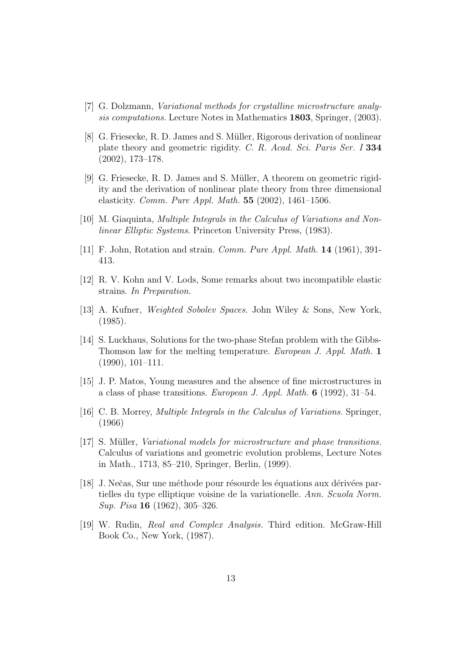- [7] G. Dolzmann, Variational methods for crystalline microstructure analysis computations. Lecture Notes in Mathematics **1803**, Springer, (2003).
- [8] G. Friesecke, R. D. James and S. M¨uller, Rigorous derivation of nonlinear plate theory and geometric rigidity. C. R. Acad. Sci. Paris Ser. I **334** (2002), 173–178.
- [9] G. Friesecke, R. D. James and S. Müller, A theorem on geometric rigidity and the derivation of nonlinear plate theory from three dimensional elasticity. Comm. Pure Appl. Math. **55** (2002), 1461–1506.
- [10] M. Giaquinta, Multiple Integrals in the Calculus of Variations and Nonlinear Elliptic Systems. Princeton University Press, (1983).
- [11] F. John, Rotation and strain. Comm. Pure Appl. Math. **14** (1961), 391- 413.
- [12] R. V. Kohn and V. Lods, Some remarks about two incompatible elastic strains. In Preparation.
- [13] A. Kufner, *Weighted Sobolev Spaces*. John Wiley & Sons, New York, (1985).
- [14] S. Luckhaus, Solutions for the two-phase Stefan problem with the Gibbs-Thomson law for the melting temperature. European J. Appl. Math. **1** (1990), 101–111.
- [15] J. P. Matos, Young measures and the absence of fine microstructures in a class of phase transitions. European J. Appl. Math. **6** (1992), 31–54.
- [16] C. B. Morrey, Multiple Integrals in the Calculus of Variations. Springer, (1966)
- [17] S. Müller, *Variational models for microstructure and phase transitions*. Calculus of variations and geometric evolution problems, Lecture Notes in Math., 1713, 85–210, Springer, Berlin, (1999).
- [18] J. Nečas, Sur une méthode pour résourde les équations aux dérivées partielles du type elliptique voisine de la variationelle. Ann. Scuola Norm. Sup. Pisa **16** (1962), 305–326.
- [19] W. Rudin, Real and Complex Analysis. Third edition. McGraw-Hill Book Co., New York, (1987).